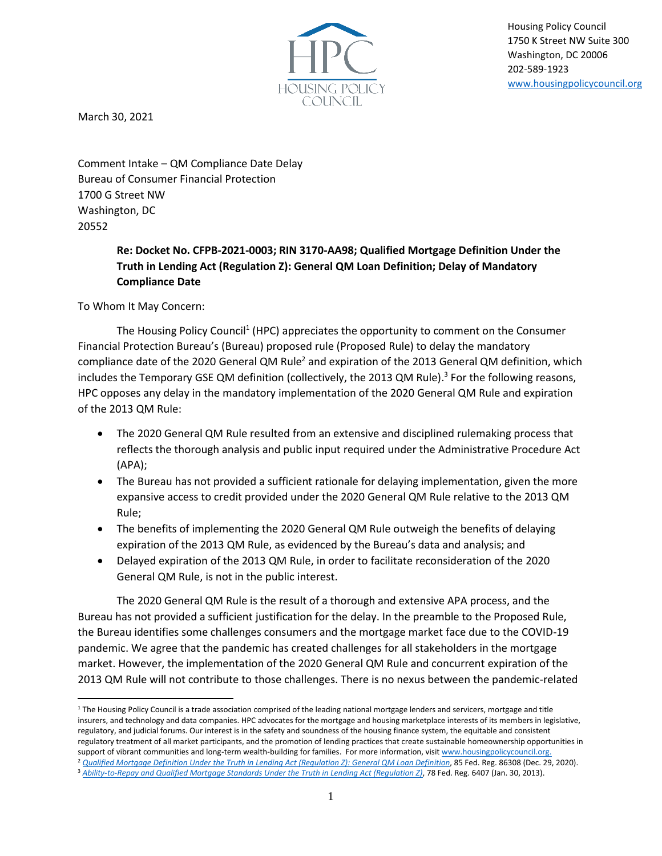

Housing Policy Council 1750 K Street NW Suite 300 Washington, DC 20006 202-589-1923 [www.housingpolicycouncil.org](http://www.housingpolicycouncil.org/)

March 30, 2021

Comment Intake – QM Compliance Date Delay Bureau of Consumer Financial Protection 1700 G Street NW Washington, DC 20552

> **Re: Docket No. CFPB-2021-0003; RIN 3170-AA98; Qualified Mortgage Definition Under the Truth in Lending Act (Regulation Z): General QM Loan Definition; Delay of Mandatory Compliance Date**

To Whom It May Concern:

The Housing Policy Council<sup>1</sup> (HPC) appreciates the opportunity to comment on the Consumer Financial Protection Bureau's (Bureau) proposed rule (Proposed Rule) to delay the mandatory compliance date of the 2020 General QM Rule<sup>2</sup> and expiration of the 2013 General QM definition, which includes the Temporary GSE QM definition (collectively, the 2013 QM Rule). 3 For the following reasons, HPC opposes any delay in the mandatory implementation of the 2020 General QM Rule and expiration of the 2013 QM Rule:

- The 2020 General QM Rule resulted from an extensive and disciplined rulemaking process that reflects the thorough analysis and public input required under the Administrative Procedure Act (APA);
- The Bureau has not provided a sufficient rationale for delaying implementation, given the more expansive access to credit provided under the 2020 General QM Rule relative to the 2013 QM Rule;
- The benefits of implementing the 2020 General QM Rule outweigh the benefits of delaying expiration of the 2013 QM Rule, as evidenced by the Bureau's data and analysis; and
- Delayed expiration of the 2013 QM Rule, in order to facilitate reconsideration of the 2020 General QM Rule, is not in the public interest.

The 2020 General QM Rule is the result of a thorough and extensive APA process, and the Bureau has not provided a sufficient justification for the delay. In the preamble to the Proposed Rule, the Bureau identifies some challenges consumers and the mortgage market face due to the COVID-19 pandemic. We agree that the pandemic has created challenges for all stakeholders in the mortgage market. However, the implementation of the 2020 General QM Rule and concurrent expiration of the 2013 QM Rule will not contribute to those challenges. There is no nexus between the pandemic-related

 $1$  The Housing Policy Council is a trade association comprised of the leading national mortgage lenders and servicers, mortgage and title insurers, and technology and data companies. HPC advocates for the mortgage and housing marketplace interests of its members in legislative, regulatory, and judicial forums. Our interest is in the safety and soundness of the housing finance system, the equitable and consistent regulatory treatment of all market participants, and the promotion of lending practices that create sustainable homeownership opportunities in support of vibrant communities and long-term wealth-building for families. For more information, visi[t www.housingpolicycouncil.org.](http://www.housingpolicycouncil.org/) <sup>2</sup> [Qualified Mortgage Definition Under the Truth in Lending Act \(Regulation Z\): General QM Loan Definition](https://www.federalregister.gov/documents/2020/12/29/2020-27567/qualified-mortgage-definition-under-the-truth-in-lending-act-regulation-z-general-qm-loan-definition), 85 Fed. Reg. 86308 (Dec. 29, 2020).

<sup>3</sup> *[Ability-to-Repay and Qualified Mortgage Standards Under the Truth in Lending Act \(Regulation Z\)](https://www.federalregister.gov/documents/2013/01/30/2013-00736/ability-to-repay-and-qualified-mortgage-standards-under-the-truth-in-lending-act-regulation-z)*, 78 Fed. Reg. 6407 (Jan. 30, 2013).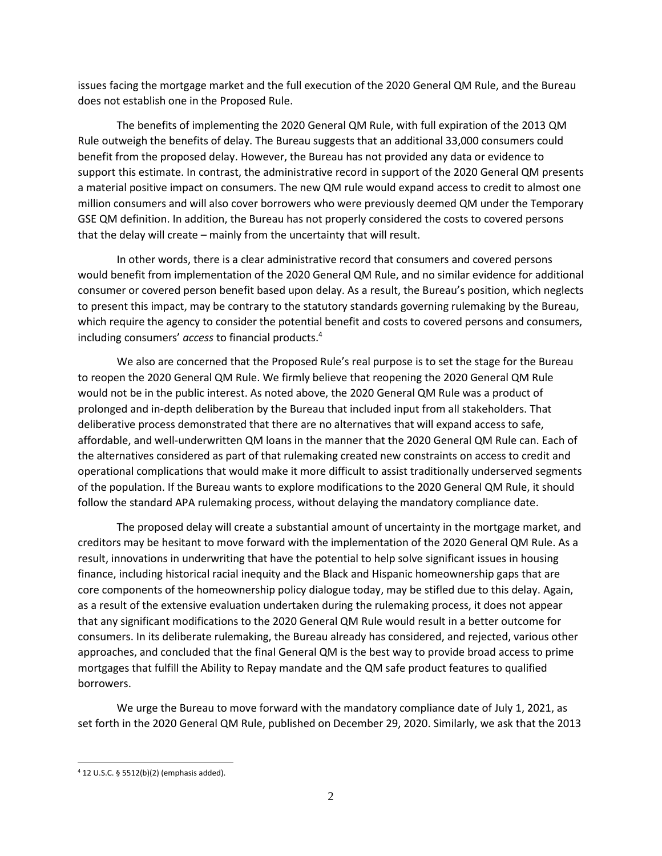issues facing the mortgage market and the full execution of the 2020 General QM Rule, and the Bureau does not establish one in the Proposed Rule.

The benefits of implementing the 2020 General QM Rule, with full expiration of the 2013 QM Rule outweigh the benefits of delay. The Bureau suggests that an additional 33,000 consumers could benefit from the proposed delay. However, the Bureau has not provided any data or evidence to support this estimate. In contrast, the administrative record in support of the 2020 General QM presents a material positive impact on consumers. The new QM rule would expand access to credit to almost one million consumers and will also cover borrowers who were previously deemed QM under the Temporary GSE QM definition. In addition, the Bureau has not properly considered the costs to covered persons that the delay will create – mainly from the uncertainty that will result.

In other words, there is a clear administrative record that consumers and covered persons would benefit from implementation of the 2020 General QM Rule, and no similar evidence for additional consumer or covered person benefit based upon delay. As a result, the Bureau's position, which neglects to present this impact, may be contrary to the statutory standards governing rulemaking by the Bureau, which require the agency to consider the potential benefit and costs to covered persons and consumers, including consumers' *access* to financial products. 4

We also are concerned that the Proposed Rule's real purpose is to set the stage for the Bureau to reopen the 2020 General QM Rule. We firmly believe that reopening the 2020 General QM Rule would not be in the public interest. As noted above, the 2020 General QM Rule was a product of prolonged and in-depth deliberation by the Bureau that included input from all stakeholders. That deliberative process demonstrated that there are no alternatives that will expand access to safe, affordable, and well-underwritten QM loans in the manner that the 2020 General QM Rule can. Each of the alternatives considered as part of that rulemaking created new constraints on access to credit and operational complications that would make it more difficult to assist traditionally underserved segments of the population. If the Bureau wants to explore modifications to the 2020 General QM Rule, it should follow the standard APA rulemaking process, without delaying the mandatory compliance date.

The proposed delay will create a substantial amount of uncertainty in the mortgage market, and creditors may be hesitant to move forward with the implementation of the 2020 General QM Rule. As a result, innovations in underwriting that have the potential to help solve significant issues in housing finance, including historical racial inequity and the Black and Hispanic homeownership gaps that are core components of the homeownership policy dialogue today, may be stifled due to this delay. Again, as a result of the extensive evaluation undertaken during the rulemaking process, it does not appear that any significant modifications to the 2020 General QM Rule would result in a better outcome for consumers. In its deliberate rulemaking, the Bureau already has considered, and rejected, various other approaches, and concluded that the final General QM is the best way to provide broad access to prime mortgages that fulfill the Ability to Repay mandate and the QM safe product features to qualified borrowers.

We urge the Bureau to move forward with the mandatory compliance date of July 1, 2021, as set forth in the 2020 General QM Rule, published on December 29, 2020. Similarly, we ask that the 2013

<sup>4</sup> 12 U.S.C. § 5512(b)(2) (emphasis added).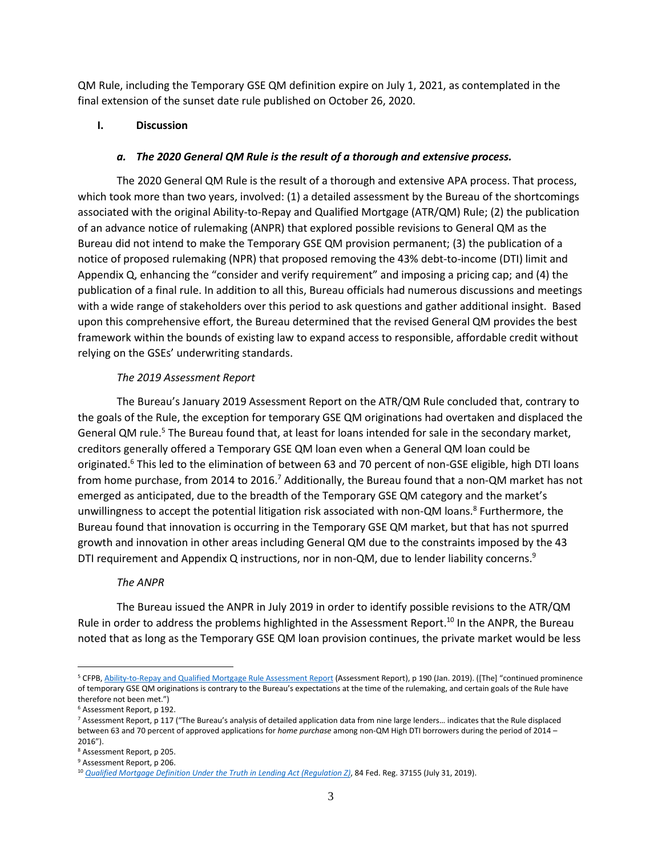QM Rule, including the Temporary GSE QM definition expire on July 1, 2021, as contemplated in the final extension of the sunset date rule published on October 26, 2020.

## **I. Discussion**

### *a. The 2020 General QM Rule is the result of a thorough and extensive process.*

The 2020 General QM Rule is the result of a thorough and extensive APA process. That process, which took more than two years, involved: (1) a detailed assessment by the Bureau of the shortcomings associated with the original Ability-to-Repay and Qualified Mortgage (ATR/QM) Rule; (2) the publication of an advance notice of rulemaking (ANPR) that explored possible revisions to General QM as the Bureau did not intend to make the Temporary GSE QM provision permanent; (3) the publication of a notice of proposed rulemaking (NPR) that proposed removing the 43% debt-to-income (DTI) limit and Appendix Q, enhancing the "consider and verify requirement" and imposing a pricing cap; and (4) the publication of a final rule. In addition to all this, Bureau officials had numerous discussions and meetings with a wide range of stakeholders over this period to ask questions and gather additional insight. Based upon this comprehensive effort, the Bureau determined that the revised General QM provides the best framework within the bounds of existing law to expand access to responsible, affordable credit without relying on the GSEs' underwriting standards.

## *The 2019 Assessment Report*

The Bureau's January 2019 Assessment Report on the ATR/QM Rule concluded that, contrary to the goals of the Rule, the exception for temporary GSE QM originations had overtaken and displaced the General QM rule.<sup>5</sup> The Bureau found that, at least for loans intended for sale in the secondary market, creditors generally offered a Temporary GSE QM loan even when a General QM loan could be originated.<sup>6</sup> This led to the elimination of between 63 and 70 percent of non-GSE eligible, high DTI loans from home purchase, from 2014 to 2016.<sup>7</sup> Additionally, the Bureau found that a non-QM market has not emerged as anticipated, due to the breadth of the Temporary GSE QM category and the market's unwillingness to accept the potential litigation risk associated with non-QM loans.<sup>8</sup> Furthermore, the Bureau found that innovation is occurring in the Temporary GSE QM market, but that has not spurred growth and innovation in other areas including General QM due to the constraints imposed by the 43 DTI requirement and Appendix Q instructions, nor in non-QM, due to lender liability concerns.<sup>9</sup>

### *The ANPR*

The Bureau issued the ANPR in July 2019 in order to identify possible revisions to the ATR/QM Rule in order to address the problems highlighted in the Assessment Report.<sup>10</sup> In the ANPR, the Bureau noted that as long as the Temporary GSE QM loan provision continues, the private market would be less

<sup>&</sup>lt;sup>5</sup> CFPB[, Ability-to-Repay and Qualified Mortgage Rule Assessment Report](https://files.consumerfinance.gov/f/documents/cfpb_ability-to-repay-qualified-mortgage_assessment-report.pdf) (Assessment Report), p 190 (Jan. 2019). ([The] "continued prominence of temporary GSE QM originations is contrary to the Bureau's expectations at the time of the rulemaking, and certain goals of the Rule have therefore not been met.")

<sup>6</sup> Assessment Report, p 192.

<sup>7</sup> Assessment Report, p 117 ("The Bureau's analysis of detailed application data from nine large lenders… indicates that the Rule displaced between 63 and 70 percent of approved applications for *home purchase* among non-QM High DTI borrowers during the period of 2014 – 2016").

<sup>8</sup> Assessment Report, p 205.

<sup>9</sup> Assessment Report, p 206.

<sup>10</sup> *[Qualified Mortgage Definition Under the Truth in Lending Act \(Regulation Z\)](https://www.federalregister.gov/documents/2019/07/31/2019-16298/qualified-mortgage-definition-under-the-truth-in-lending-act-regulation-z#citation-62-p37160)*, 84 Fed. Reg. 37155 (July 31, 2019).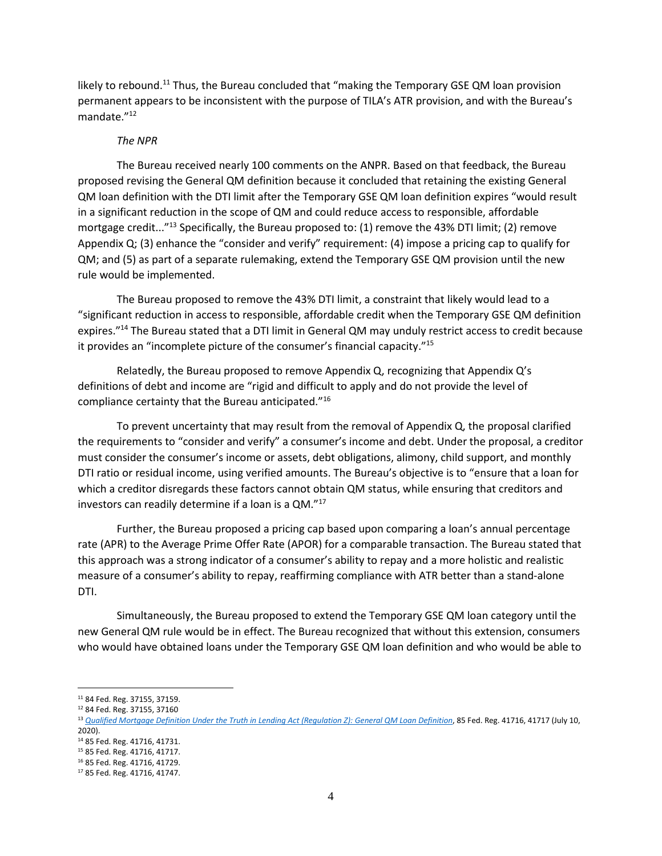likely to rebound.<sup>11</sup> Thus, the Bureau concluded that "making the Temporary GSE QM loan provision permanent appears to be inconsistent with the purpose of TILA's ATR provision, and with the Bureau's mandate."<sup>12</sup>

#### *The NPR*

The Bureau received nearly 100 comments on the ANPR. Based on that feedback, the Bureau proposed revising the General QM definition because it concluded that retaining the existing General QM loan definition with the DTI limit after the Temporary GSE QM loan definition expires "would result in a significant reduction in the scope of QM and could reduce access to responsible, affordable mortgage credit..."<sup>13</sup> Specifically, the Bureau proposed to: (1) remove the 43% DTI limit; (2) remove Appendix Q; (3) enhance the "consider and verify" requirement: (4) impose a pricing cap to qualify for QM; and (5) as part of a separate rulemaking, extend the Temporary GSE QM provision until the new rule would be implemented.

The Bureau proposed to remove the 43% DTI limit, a constraint that likely would lead to a "significant reduction in access to responsible, affordable credit when the Temporary GSE QM definition expires."<sup>14</sup> The Bureau stated that a DTI limit in General QM may unduly restrict access to credit because it provides an "incomplete picture of the consumer's financial capacity."<sup>15</sup>

Relatedly, the Bureau proposed to remove Appendix Q, recognizing that Appendix Q's definitions of debt and income are "rigid and difficult to apply and do not provide the level of compliance certainty that the Bureau anticipated."<sup>16</sup>

To prevent uncertainty that may result from the removal of Appendix Q, the proposal clarified the requirements to "consider and verify" a consumer's income and debt. Under the proposal, a creditor must consider the consumer's income or assets, debt obligations, alimony, child support, and monthly DTI ratio or residual income, using verified amounts. The Bureau's objective is to "ensure that a loan for which a creditor disregards these factors cannot obtain QM status, while ensuring that creditors and investors can readily determine if a loan is a QM."<sup>17</sup>

Further, the Bureau proposed a pricing cap based upon comparing a loan's annual percentage rate (APR) to the Average Prime Offer Rate (APOR) for a comparable transaction. The Bureau stated that this approach was a strong indicator of a consumer's ability to repay and a more holistic and realistic measure of a consumer's ability to repay, reaffirming compliance with ATR better than a stand-alone DTI.

Simultaneously, the Bureau proposed to extend the Temporary GSE QM loan category until the new General QM rule would be in effect. The Bureau recognized that without this extension, consumers who would have obtained loans under the Temporary GSE QM loan definition and who would be able to

<sup>14</sup> 85 Fed. Reg. 41716, 41731.

<sup>11</sup> 84 Fed. Reg. 37155, 37159.

<sup>12</sup> 84 Fed. Reg. 37155, 37160

<sup>&</sup>lt;sup>13</sup> [Qualified Mortgage Definition Under the Truth in Lending Act \(Regulation Z\): General QM Loan Definition](https://www.federalregister.gov/documents/2020/07/10/2020-13739/qualified-mortgage-definition-under-the-truth-in-lending-act-regulation-z-general-qm-loan-definition), 85 Fed. Reg. 41716, 41717 (July 10, 2020).

<sup>15</sup> 85 Fed. Reg. 41716, 41717. <sup>16</sup> 85 Fed. Reg. 41716, 41729.

<sup>17</sup> 85 Fed. Reg. 41716, 41747.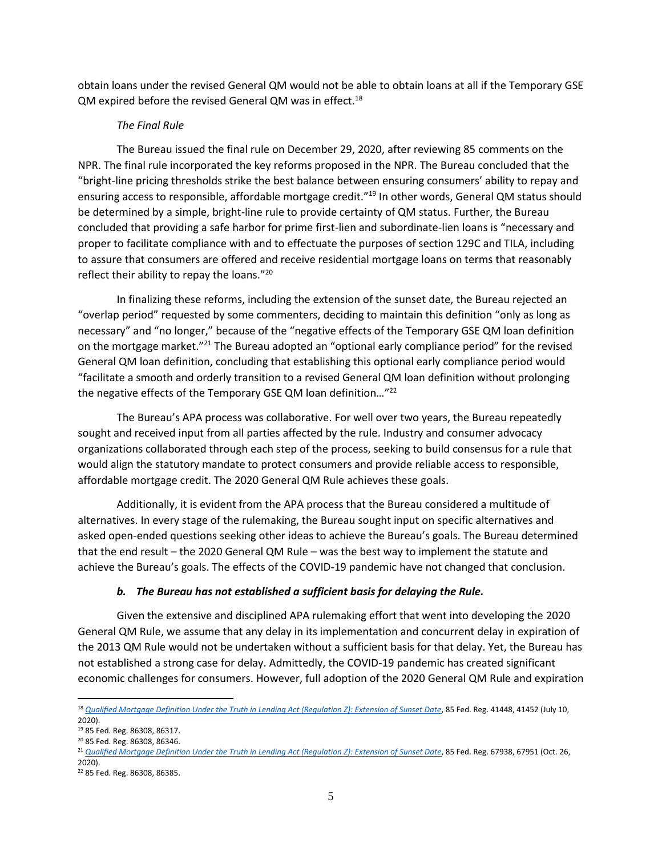obtain loans under the revised General QM would not be able to obtain loans at all if the Temporary GSE QM expired before the revised General QM was in effect.<sup>18</sup>

## *The Final Rule*

The Bureau issued the final rule on December 29, 2020, after reviewing 85 comments on the NPR. The final rule incorporated the key reforms proposed in the NPR. The Bureau concluded that the "bright-line pricing thresholds strike the best balance between ensuring consumers' ability to repay and ensuring access to responsible, affordable mortgage credit."<sup>19</sup> In other words, General QM status should be determined by a simple, bright-line rule to provide certainty of QM status. Further, the Bureau concluded that providing a safe harbor for prime first-lien and subordinate-lien loans is "necessary and proper to facilitate compliance with and to effectuate the purposes of section 129C and TILA, including to assure that consumers are offered and receive residential mortgage loans on terms that reasonably reflect their ability to repay the loans."<sup>20</sup>

In finalizing these reforms, including the extension of the sunset date, the Bureau rejected an "overlap period" requested by some commenters, deciding to maintain this definition "only as long as necessary" and "no longer," because of the "negative effects of the Temporary GSE QM loan definition on the mortgage market."<sup>21</sup> The Bureau adopted an "optional early compliance period" for the revised General QM loan definition, concluding that establishing this optional early compliance period would "facilitate a smooth and orderly transition to a revised General QM loan definition without prolonging the negative effects of the Temporary GSE QM loan definition..."<sup>22</sup>

The Bureau's APA process was collaborative. For well over two years, the Bureau repeatedly sought and received input from all parties affected by the rule. Industry and consumer advocacy organizations collaborated through each step of the process, seeking to build consensus for a rule that would align the statutory mandate to protect consumers and provide reliable access to responsible, affordable mortgage credit. The 2020 General QM Rule achieves these goals.

Additionally, it is evident from the APA process that the Bureau considered a multitude of alternatives. In every stage of the rulemaking, the Bureau sought input on specific alternatives and asked open-ended questions seeking other ideas to achieve the Bureau's goals. The Bureau determined that the end result – the 2020 General QM Rule – was the best way to implement the statute and achieve the Bureau's goals. The effects of the COVID-19 pandemic have not changed that conclusion.

# *b. The Bureau has not established a sufficient basis for delaying the Rule.*

Given the extensive and disciplined APA rulemaking effort that went into developing the 2020 General QM Rule, we assume that any delay in its implementation and concurrent delay in expiration of the 2013 QM Rule would not be undertaken without a sufficient basis for that delay. Yet, the Bureau has not established a strong case for delay. Admittedly, the COVID-19 pandemic has created significant economic challenges for consumers. However, full adoption of the 2020 General QM Rule and expiration

<sup>&</sup>lt;sup>18</sup> [Qualified Mortgage Definition Under the Truth in Lending Act \(Regulation Z\): Extension of Sunset Date](https://www.federalregister.gov/documents/2020/07/10/2020-13741/qualified-mortgage-definition-under-the-truth-in-lending-act-regulation-z-extension-of-sunset-date), 85 Fed. Reg. 41448, 41452 (July 10, 2020).

<sup>19</sup> 85 Fed. Reg. 86308, 86317.

<sup>20</sup> 85 Fed. Reg. 86308, 86346.

<sup>&</sup>lt;sup>21</sup> [Qualified Mortgage Definition Under the Truth in Lending Act \(Regulation Z\): Extension of Sunset Date](https://www.federalregister.gov/documents/2020/10/26/2020-23540/qualified-mortgage-definition-under-the-truth-in-lending-act-regulation-z-extension-of-sunset-date), 85 Fed. Reg. 67938, 67951 (Oct. 26, 2020).

<sup>22</sup> 85 Fed. Reg. 86308, 86385.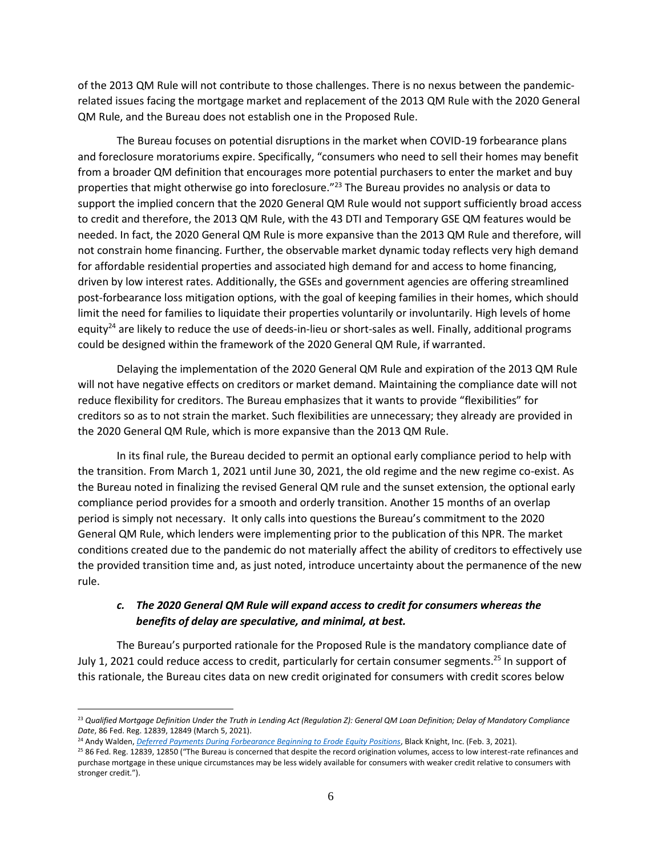of the 2013 QM Rule will not contribute to those challenges. There is no nexus between the pandemicrelated issues facing the mortgage market and replacement of the 2013 QM Rule with the 2020 General QM Rule, and the Bureau does not establish one in the Proposed Rule.

The Bureau focuses on potential disruptions in the market when COVID-19 forbearance plans and foreclosure moratoriums expire. Specifically, "consumers who need to sell their homes may benefit from a broader QM definition that encourages more potential purchasers to enter the market and buy properties that might otherwise go into foreclosure." <sup>23</sup> The Bureau provides no analysis or data to support the implied concern that the 2020 General QM Rule would not support sufficiently broad access to credit and therefore, the 2013 QM Rule, with the 43 DTI and Temporary GSE QM features would be needed. In fact, the 2020 General QM Rule is more expansive than the 2013 QM Rule and therefore, will not constrain home financing. Further, the observable market dynamic today reflects very high demand for affordable residential properties and associated high demand for and access to home financing, driven by low interest rates. Additionally, the GSEs and government agencies are offering streamlined post-forbearance loss mitigation options, with the goal of keeping families in their homes, which should limit the need for families to liquidate their properties voluntarily or involuntarily. High levels of home equity<sup>24</sup> are likely to reduce the use of deeds-in-lieu or short-sales as well. Finally, additional programs could be designed within the framework of the 2020 General QM Rule, if warranted.

Delaying the implementation of the 2020 General QM Rule and expiration of the 2013 QM Rule will not have negative effects on creditors or market demand. Maintaining the compliance date will not reduce flexibility for creditors. The Bureau emphasizes that it wants to provide "flexibilities" for creditors so as to not strain the market. Such flexibilities are unnecessary; they already are provided in the 2020 General QM Rule, which is more expansive than the 2013 QM Rule.

In its final rule, the Bureau decided to permit an optional early compliance period to help with the transition. From March 1, 2021 until June 30, 2021, the old regime and the new regime co-exist. As the Bureau noted in finalizing the revised General QM rule and the sunset extension, the optional early compliance period provides for a smooth and orderly transition. Another 15 months of an overlap period is simply not necessary. It only calls into questions the Bureau's commitment to the 2020 General QM Rule, which lenders were implementing prior to the publication of this NPR. The market conditions created due to the pandemic do not materially affect the ability of creditors to effectively use the provided transition time and, as just noted, introduce uncertainty about the permanence of the new rule.

# *c. The 2020 General QM Rule will expand access to credit for consumers whereas the benefits of delay are speculative, and minimal, at best.*

The Bureau's purported rationale for the Proposed Rule is the mandatory compliance date of July 1, 2021 could reduce access to credit, particularly for certain consumer segments.<sup>25</sup> In support of this rationale, the Bureau cites data on new credit originated for consumers with credit scores below

<sup>&</sup>lt;sup>23</sup> Qualified Mortgage Definition Under the Truth in Lending Act (Regulation Z): General QM Loan Definition; Delay of Mandatory Compliance *Date*, 86 Fed. Reg. 12839, 12849 (March 5, 2021).

<sup>&</sup>lt;sup>24</sup> Andy Walden, *[Deferred Payments During Forbearance Beginning to Erode Equity Positions](https://www.blackknightinc.com/blog-posts/deferred-payments-during-forbearance-beginning-to-erode-equity-positions/)*, Black Knight, Inc. (Feb. 3, 2021).

<sup>&</sup>lt;sup>25</sup> 86 Fed. Reg. 12839, 12850 ("The Bureau is concerned that despite the record origination volumes, access to low interest-rate refinances and purchase mortgage in these unique circumstances may be less widely available for consumers with weaker credit relative to consumers with stronger credit.").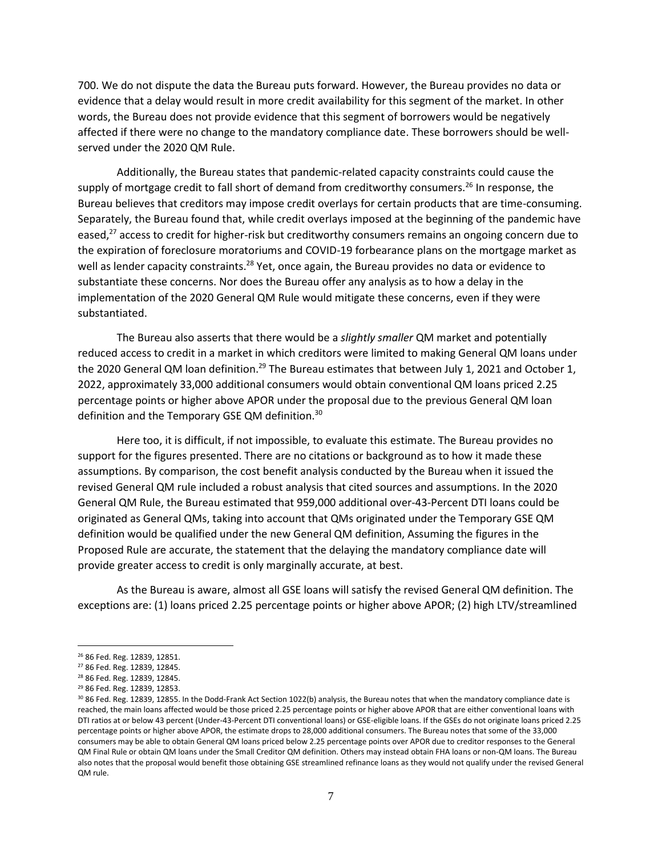700. We do not dispute the data the Bureau puts forward. However, the Bureau provides no data or evidence that a delay would result in more credit availability for this segment of the market. In other words, the Bureau does not provide evidence that this segment of borrowers would be negatively affected if there were no change to the mandatory compliance date. These borrowers should be wellserved under the 2020 QM Rule.

Additionally, the Bureau states that pandemic-related capacity constraints could cause the supply of mortgage credit to fall short of demand from creditworthy consumers.<sup>26</sup> In response, the Bureau believes that creditors may impose credit overlays for certain products that are time-consuming. Separately, the Bureau found that, while credit overlays imposed at the beginning of the pandemic have eased,<sup>27</sup> access to credit for higher-risk but creditworthy consumers remains an ongoing concern due to the expiration of foreclosure moratoriums and COVID-19 forbearance plans on the mortgage market as well as lender capacity constraints.<sup>28</sup> Yet, once again, the Bureau provides no data or evidence to substantiate these concerns. Nor does the Bureau offer any analysis as to how a delay in the implementation of the 2020 General QM Rule would mitigate these concerns, even if they were substantiated.

The Bureau also asserts that there would be a *slightly smaller* QM market and potentially reduced access to credit in a market in which creditors were limited to making General QM loans under the 2020 General QM loan definition.<sup>29</sup> The Bureau estimates that between July 1, 2021 and October 1, 2022, approximately 33,000 additional consumers would obtain conventional QM loans priced 2.25 percentage points or higher above APOR under the proposal due to the previous General QM loan definition and the Temporary GSE QM definition.<sup>30</sup>

Here too, it is difficult, if not impossible, to evaluate this estimate. The Bureau provides no support for the figures presented. There are no citations or background as to how it made these assumptions. By comparison, the cost benefit analysis conducted by the Bureau when it issued the revised General QM rule included a robust analysis that cited sources and assumptions. In the 2020 General QM Rule, the Bureau estimated that 959,000 additional over-43-Percent DTI loans could be originated as General QMs, taking into account that QMs originated under the Temporary GSE QM definition would be qualified under the new General QM definition, Assuming the figures in the Proposed Rule are accurate, the statement that the delaying the mandatory compliance date will provide greater access to credit is only marginally accurate, at best.

As the Bureau is aware, almost all GSE loans will satisfy the revised General QM definition. The exceptions are: (1) loans priced 2.25 percentage points or higher above APOR; (2) high LTV/streamlined

<sup>26</sup> 86 Fed. Reg. 12839, 12851.

<sup>27</sup> 86 Fed. Reg. 12839, 12845.

<sup>28</sup> 86 Fed. Reg. 12839, 12845.

<sup>29</sup> 86 Fed. Reg. 12839, 12853.

<sup>&</sup>lt;sup>30</sup> 86 Fed. Reg. 12839, 12855. In the Dodd-Frank Act Section 1022(b) analysis, the Bureau notes that when the mandatory compliance date is reached, the main loans affected would be those priced 2.25 percentage points or higher above APOR that are either conventional loans with DTI ratios at or below 43 percent (Under-43-Percent DTI conventional loans) or GSE-eligible loans. If the GSEs do not originate loans priced 2.25 percentage points or higher above APOR, the estimate drops to 28,000 additional consumers. The Bureau notes that some of the 33,000 consumers may be able to obtain General QM loans priced below 2.25 percentage points over APOR due to creditor responses to the General QM Final Rule or obtain QM loans under the Small Creditor QM definition. Others may instead obtain FHA loans or non-QM loans. The Bureau also notes that the proposal would benefit those obtaining GSE streamlined refinance loans as they would not qualify under the revised General QM rule.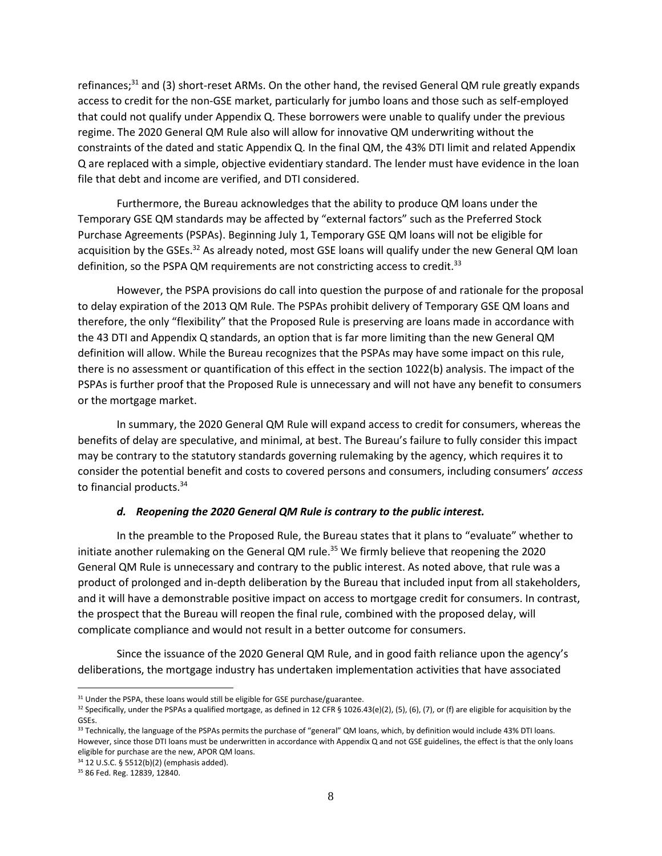refinances;<sup>31</sup> and (3) short-reset ARMs. On the other hand, the revised General QM rule greatly expands access to credit for the non-GSE market, particularly for jumbo loans and those such as self-employed that could not qualify under Appendix Q. These borrowers were unable to qualify under the previous regime. The 2020 General QM Rule also will allow for innovative QM underwriting without the constraints of the dated and static Appendix Q. In the final QM, the 43% DTI limit and related Appendix Q are replaced with a simple, objective evidentiary standard. The lender must have evidence in the loan file that debt and income are verified, and DTI considered.

Furthermore, the Bureau acknowledges that the ability to produce QM loans under the Temporary GSE QM standards may be affected by "external factors" such as the Preferred Stock Purchase Agreements (PSPAs). Beginning July 1, Temporary GSE QM loans will not be eligible for acquisition by the GSEs.<sup>32</sup> As already noted, most GSE loans will qualify under the new General QM loan definition, so the PSPA QM requirements are not constricting access to credit.<sup>33</sup>

However, the PSPA provisions do call into question the purpose of and rationale for the proposal to delay expiration of the 2013 QM Rule. The PSPAs prohibit delivery of Temporary GSE QM loans and therefore, the only "flexibility" that the Proposed Rule is preserving are loans made in accordance with the 43 DTI and Appendix Q standards, an option that is far more limiting than the new General QM definition will allow. While the Bureau recognizes that the PSPAs may have some impact on this rule, there is no assessment or quantification of this effect in the section 1022(b) analysis. The impact of the PSPAs is further proof that the Proposed Rule is unnecessary and will not have any benefit to consumers or the mortgage market.

In summary, the 2020 General QM Rule will expand access to credit for consumers, whereas the benefits of delay are speculative, and minimal, at best. The Bureau's failure to fully consider this impact may be contrary to the statutory standards governing rulemaking by the agency, which requires it to consider the potential benefit and costs to covered persons and consumers, including consumers' *access* to financial products.<sup>34</sup>

#### *d. Reopening the 2020 General QM Rule is contrary to the public interest.*

In the preamble to the Proposed Rule, the Bureau states that it plans to "evaluate" whether to initiate another rulemaking on the General QM rule.<sup>35</sup> We firmly believe that reopening the 2020 General QM Rule is unnecessary and contrary to the public interest. As noted above, that rule was a product of prolonged and in-depth deliberation by the Bureau that included input from all stakeholders, and it will have a demonstrable positive impact on access to mortgage credit for consumers. In contrast, the prospect that the Bureau will reopen the final rule, combined with the proposed delay, will complicate compliance and would not result in a better outcome for consumers.

Since the issuance of the 2020 General QM Rule, and in good faith reliance upon the agency's deliberations, the mortgage industry has undertaken implementation activities that have associated

<sup>&</sup>lt;sup>31</sup> Under the PSPA, these loans would still be eligible for GSE purchase/guarantee.

<sup>&</sup>lt;sup>32</sup> Specifically, under the PSPAs a qualified mortgage, as defined in 12 CFR § 1026.43(e)(2), (5), (6), (7), or (f) are eligible for acquisition by the GSEs.

<sup>&</sup>lt;sup>33</sup> Technically, the language of the PSPAs permits the purchase of "general" QM loans, which, by definition would include 43% DTI loans. However, since those DTI loans must be underwritten in accordance with Appendix Q and not GSE guidelines, the effect is that the only loans eligible for purchase are the new, APOR QM loans.

<sup>34</sup> 12 U.S.C. § 5512(b)(2) (emphasis added).

<sup>35</sup> 86 Fed. Reg. 12839, 12840.